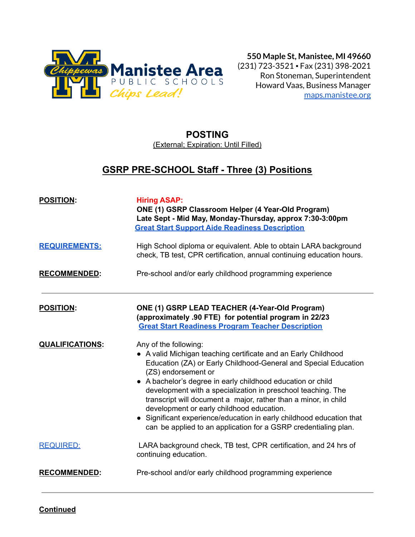

**550 Maple St, Manistee, MI 49660** (231) 723-3521 ▪ Fax (231) 398-2021 Ron Stoneman, Superintendent Howard Vaas, Business Manager [maps.manistee.org](http://maps.manistee.org)

# **POSTING**

(External; Expiration: Until Filled)

# **GSRP PRE-SCHOOL Staff - Three (3) Positions**

| <b>POSITION:</b>       | <b>Hiring ASAP:</b><br>ONE (1) GSRP Classroom Helper (4 Year-Old Program)<br>Late Sept - Mid May, Monday-Thursday, approx 7:30-3:00pm<br><b>Great Start Support Aide Readiness Description</b>                                                                                                                                                                                                                                                                                                                                                                              |
|------------------------|-----------------------------------------------------------------------------------------------------------------------------------------------------------------------------------------------------------------------------------------------------------------------------------------------------------------------------------------------------------------------------------------------------------------------------------------------------------------------------------------------------------------------------------------------------------------------------|
| <b>REQUIREMENTS:</b>   | High School diploma or equivalent. Able to obtain LARA background<br>check, TB test, CPR certification, annual continuing education hours.                                                                                                                                                                                                                                                                                                                                                                                                                                  |
| <b>RECOMMENDED:</b>    | Pre-school and/or early childhood programming experience                                                                                                                                                                                                                                                                                                                                                                                                                                                                                                                    |
| <b>POSITION:</b>       | ONE (1) GSRP LEAD TEACHER (4-Year-Old Program)<br>(approximately .90 FTE) for potential program in 22/23<br><b>Great Start Readiness Program Teacher Description</b>                                                                                                                                                                                                                                                                                                                                                                                                        |
| <b>QUALIFICATIONS:</b> | Any of the following:<br>• A valid Michigan teaching certificate and an Early Childhood<br>Education (ZA) or Early Childhood-General and Special Education<br>(ZS) endorsement or<br>• A bachelor's degree in early childhood education or child<br>development with a specialization in preschool teaching. The<br>transcript will document a major, rather than a minor, in child<br>development or early childhood education.<br>• Significant experience/education in early childhood education that<br>can be applied to an application for a GSRP credentialing plan. |
| <b>REQUIRED:</b>       | LARA background check, TB test, CPR certification, and 24 hrs of<br>continuing education.                                                                                                                                                                                                                                                                                                                                                                                                                                                                                   |
| <b>RECOMMENDED:</b>    | Pre-school and/or early childhood programming experience                                                                                                                                                                                                                                                                                                                                                                                                                                                                                                                    |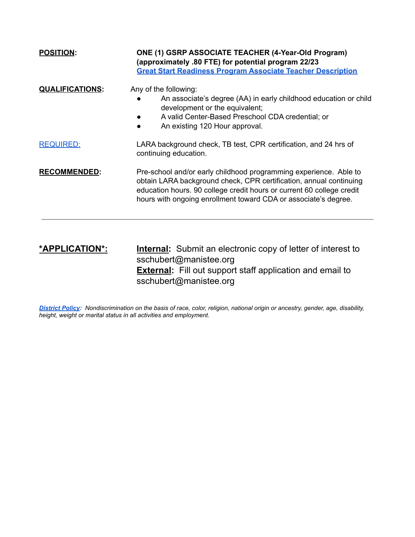| <b>POSITION:</b>       | ONE (1) GSRP ASSOCIATE TEACHER (4-Year-Old Program)<br>(approximately .80 FTE) for potential program 22/23<br><b>Great Start Readiness Program Associate Teacher Description</b>                                                                                                    |  |  |  |
|------------------------|-------------------------------------------------------------------------------------------------------------------------------------------------------------------------------------------------------------------------------------------------------------------------------------|--|--|--|
| <b>QUALIFICATIONS:</b> | Any of the following:<br>An associate's degree (AA) in early childhood education or child<br>development or the equivalent;<br>A valid Center-Based Preschool CDA credential; or<br>An existing 120 Hour approval.<br>$\bullet$                                                     |  |  |  |
| <b>REQUIRED:</b>       | LARA background check, TB test, CPR certification, and 24 hrs of<br>continuing education.                                                                                                                                                                                           |  |  |  |
| <b>RECOMMENDED:</b>    | Pre-school and/or early childhood programming experience. Able to<br>obtain LARA background check, CPR certification, annual continuing<br>education hours. 90 college credit hours or current 60 college credit<br>hours with ongoing enrollment toward CDA or associate's degree. |  |  |  |
|                        |                                                                                                                                                                                                                                                                                     |  |  |  |

## **\*APPLICATION\*: Internal:** Submit an electronic copy of letter of interest to sschubert@manistee.org **External:** Fill out support staff application and email to sschubert@manistee.org

*District Policy: Nondiscrimination on the basis of race, color, religion, national origin or ancestry, gender, age, disability, height, weight or marital status in all activities and employment.*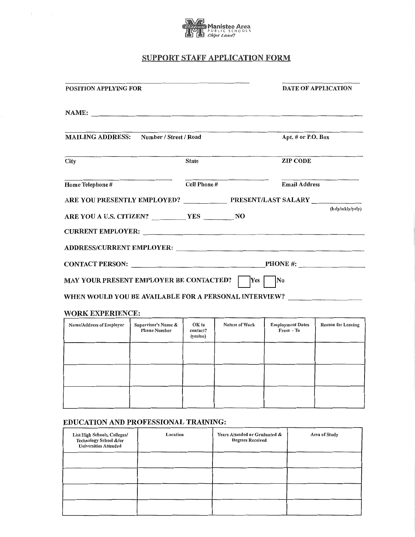

# **SUPPORT STAFF APPLICATION FORM**

| <b>POSITION APPLYING FOR</b>                                                                                                                                                                                                                                         |                                            |                   |                |                                      | <b>DATE OF APPLICATION</b> |  |
|----------------------------------------------------------------------------------------------------------------------------------------------------------------------------------------------------------------------------------------------------------------------|--------------------------------------------|-------------------|----------------|--------------------------------------|----------------------------|--|
| NAME:                                                                                                                                                                                                                                                                |                                            |                   |                |                                      |                            |  |
| <b>MAILING ADDRESS:</b> Number / Street / Road                                                                                                                                                                                                                       |                                            |                   |                | Apt. # or P.O. Box                   |                            |  |
| City                                                                                                                                                                                                                                                                 |                                            | <b>State</b>      |                | <b>ZIP CODE</b>                      |                            |  |
| Home Telephone #                                                                                                                                                                                                                                                     |                                            | Cell Phone #      |                |                                      | <b>Email Address</b>       |  |
| ARE YOU PRESENTLY EMPLOYED? PRESENT/LAST SALARY                                                                                                                                                                                                                      |                                            |                   |                |                                      |                            |  |
| ARE YOU A U.S. CITIZEN? VES WES NO<br>CURRENT EMPLOYER: CONSERVERT CONTROL CONTROL CONTROL CONTROL CONTROL CONTROL CONTROL CONTROL CONTROL CONTROL CONTROL CONTROL CONTROL CONTROL CONTROL CONTROL CONTROL CONTROL CONTROL CONTROL CONTROL CONTROL CONTROL CONTROL C |                                            |                   |                |                                      | (hrly/wkly/yrly)           |  |
| ADDRESS/CURRENT EMPLOYER: University of the contract of the contract of the contract of the contract of the contract of the contract of the contract of the contract of the contract of the contract of the contract of the co                                       |                                            |                   |                |                                      |                            |  |
| CONTACT PERSON: Network of the CONTACT PERSON:                                                                                                                                                                                                                       |                                            |                   |                | <b>PHONE</b> #:                      |                            |  |
| <b>MAY YOUR PRESENT EMPLOYER BE CONTACTED?</b>                                                                                                                                                                                                                       |                                            |                   | Yes            | No                                   |                            |  |
| WHEN WOULD YOU BE AVAILABLE FOR A PERSONAL INTERVIEW?                                                                                                                                                                                                                |                                            |                   |                |                                      |                            |  |
| <b>WORK EXPERIENCE:</b>                                                                                                                                                                                                                                              |                                            |                   |                |                                      |                            |  |
| <b>Name/Address of Employer</b>                                                                                                                                                                                                                                      | Supervisor's Name &<br><b>Phone Number</b> | OK to<br>contact? | Nature of Work | <b>Employment Dates</b><br>From - To | <b>Reason for Leaving</b>  |  |

| Name/Address of Employer | Supervisor's Name &<br><b>Phone Number</b> | OK to<br>contact?<br>(yes/no) | <b>Nature of Work</b> | <b>Employment Dates</b><br>From - To | <b>Reason for Leaving</b> |
|--------------------------|--------------------------------------------|-------------------------------|-----------------------|--------------------------------------|---------------------------|
|                          |                                            |                               |                       |                                      |                           |
|                          |                                            |                               |                       |                                      |                           |
|                          |                                            |                               |                       |                                      |                           |

### EDUCATION AND PROFESSIONAL TRAINING:

| List High Schools, Colleges/<br>Technology School &/or<br><b>Universities Attended</b> | Location | Years Attended or Graduated &<br><b>Degrees Received</b> | Area of Study |
|----------------------------------------------------------------------------------------|----------|----------------------------------------------------------|---------------|
|                                                                                        |          |                                                          |               |
|                                                                                        |          |                                                          |               |
|                                                                                        |          |                                                          |               |
|                                                                                        |          |                                                          |               |